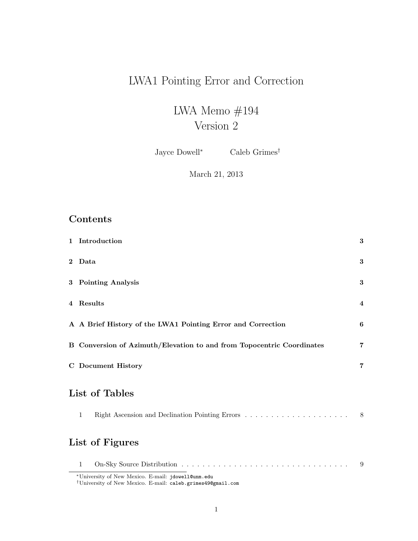# LWA1 Pointing Error and Correction

# LWA Memo $\#194$ Version 2

Jayce Dowell<sup>∗</sup> Caleb Grimes†

## March 21, 2013

# Contents

| $\mathbf{2}$<br>Data<br>3 Pointing Analysis<br>4 Results<br>A A Brief History of the LWA1 Pointing Error and Correction<br>B Conversion of Azimuth/Elevation to and from Topocentric Coordinates<br><b>C</b> Document History<br>List of Tables<br>Right Ascension and Declination Pointing Errors $\dots \dots \dots \dots \dots \dots \dots \dots$<br>$\mathbf{1}$ | 1 Introduction | $\bf{3}$       |
|----------------------------------------------------------------------------------------------------------------------------------------------------------------------------------------------------------------------------------------------------------------------------------------------------------------------------------------------------------------------|----------------|----------------|
|                                                                                                                                                                                                                                                                                                                                                                      |                | 3              |
|                                                                                                                                                                                                                                                                                                                                                                      |                | $\bf{3}$       |
|                                                                                                                                                                                                                                                                                                                                                                      |                | $\overline{4}$ |
|                                                                                                                                                                                                                                                                                                                                                                      |                | 6              |
|                                                                                                                                                                                                                                                                                                                                                                      |                | $\overline{7}$ |
|                                                                                                                                                                                                                                                                                                                                                                      |                | $\overline{7}$ |
|                                                                                                                                                                                                                                                                                                                                                                      |                |                |
|                                                                                                                                                                                                                                                                                                                                                                      |                | 8              |
| List of Figures                                                                                                                                                                                                                                                                                                                                                      |                |                |
| $\mathbf{1}$<br>$*$ II. $\ldots$ $\ldots$ $\ldots$ $\ldots$ $\ldots$ $\ldots$ $\ldots$ $\ldots$ $\ldots$ $\ldots$ $\ldots$ $\ldots$ $\ldots$                                                                                                                                                                                                                         |                | 9              |

<sup>∗</sup>University of New Mexico. E-mail: jdowell@unm.edu

†University of New Mexico. E-mail: caleb.grimes49@gmail.com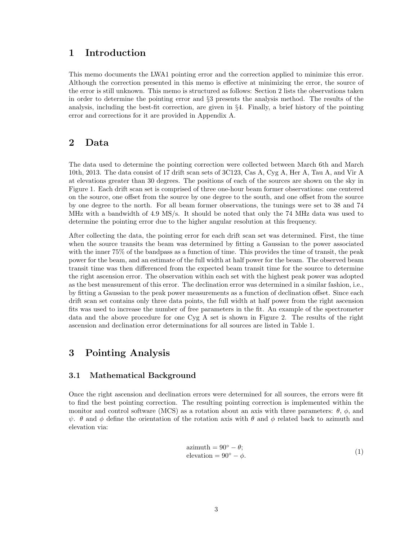### 1 Introduction

This memo documents the LWA1 pointing error and the correction applied to minimize this error. Although the correction presented in this memo is effective at minimizing the error, the source of the error is still unknown. This memo is structured as follows: Section 2 lists the observations taken in order to determine the pointing error and §3 presents the analysis method. The results of the analysis, including the best-fit correction, are given in §4. Finally, a brief history of the pointing error and corrections for it are provided in Appendix A.

### 2 Data

The data used to determine the pointing correction were collected between March 6th and March 10th, 2013. The data consist of 17 drift scan sets of 3C123, Cas A, Cyg A, Her A, Tau A, and Vir A at elevations greater than 30 degrees. The positions of each of the sources are shown on the sky in Figure 1. Each drift scan set is comprised of three one-hour beam former observations: one centered on the source, one offset from the source by one degree to the south, and one offset from the source by one degree to the north. For all beam former observations, the tunings were set to 38 and 74 MHz with a bandwidth of 4.9 MS/s. It should be noted that only the 74 MHz data was used to determine the pointing error due to the higher angular resolution at this frequency.

After collecting the data, the pointing error for each drift scan set was determined. First, the time when the source transits the beam was determined by fitting a Gaussian to the power associated with the inner 75% of the bandpass as a function of time. This provides the time of transit, the peak power for the beam, and an estimate of the full width at half power for the beam. The observed beam transit time was then differenced from the expected beam transit time for the source to determine the right ascension error. The observation within each set with the highest peak power was adopted as the best measurement of this error. The declination error was determined in a similar fashion, i.e., by fitting a Gaussian to the peak power measurements as a function of declination offset. Since each drift scan set contains only three data points, the full width at half power from the right ascension fits was used to increase the number of free parameters in the fit. An example of the spectrometer data and the above procedure for one Cyg A set is shown in Figure 2. The results of the right ascension and declination error determinations for all sources are listed in Table 1.

### 3 Pointing Analysis

#### 3.1 Mathematical Background

Once the right ascension and declination errors were determined for all sources, the errors were fit to find the best pointing correction. The resulting pointing correction is implemented within the monitor and control software (MCS) as a rotation about an axis with three parameters:  $\theta$ ,  $\phi$ , and  $\psi$ . θ and φ define the orientation of the rotation axis with θ and φ related back to azimuth and elevation via:

$$
azimuth = 90^{\circ} - \theta; elevation = 90^{\circ} - \phi.
$$
 (1)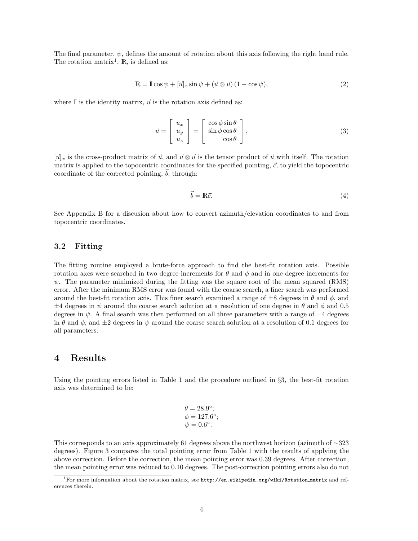The final parameter,  $\psi$ , defines the amount of rotation about this axis following the right hand rule. The rotation matrix<sup>1</sup>,  $\mathbb{R}$ , is defined as:

$$
\mathbb{R} = \mathbb{I}\cos\psi + [\vec{u}]_x \sin\psi + (\vec{u} \otimes \vec{u}) (1 - \cos\psi),\tag{2}
$$

where  $\mathbb I$  is the identity matrix,  $\vec u$  is the rotation axis defined as:

$$
\vec{u} = \begin{bmatrix} u_x \\ u_y \\ u_z \end{bmatrix} = \begin{bmatrix} \cos\phi\sin\theta \\ \sin\phi\cos\theta \\ \cos\theta \end{bmatrix},
$$
\n(3)

 $[\vec{u}]_x$  is the cross-product matrix of  $\vec{u}$ , and  $\vec{u} \otimes \vec{u}$  is the tensor product of  $\vec{u}$  with itself. The rotation matrix is applied to the topocentric coordinates for the specified pointing,  $\vec{c}$ , to yield the topocentric coordinate of the corrected pointing,  $\dot{b}$ , through:

$$
\vec{b} = \mathbb{R}\vec{c}.\tag{4}
$$

See Appendix B for a discusion about how to convert azimuth/elevation coordinates to and from topocentric coordinates.

#### 3.2 Fitting

The fitting routine employed a brute-force approach to find the best-fit rotation axis. Possible rotation axes were searched in two degree increments for  $\theta$  and  $\phi$  and in one degree increments for  $\psi$ . The parameter minimized during the fitting was the square root of the mean squared (RMS) error. After the minimum RMS error was found with the coarse search, a finer search was performed around the best-fit rotation axis. This finer search examined a range of  $\pm 8$  degrees in  $\theta$  and  $\phi$ , and  $\pm 4$  degrees in  $\psi$  around the coarse search solution at a resolution of one degree in  $\theta$  and  $\phi$  and 0.5 degrees in  $\psi$ . A final search was then performed on all three parameters with a range of  $\pm 4$  degrees in  $\theta$  and  $\phi$ , and  $\pm 2$  degrees in  $\psi$  around the coarse search solution at a resolution of 0.1 degrees for all parameters.

### 4 Results

Using the pointing errors listed in Table 1 and the procedure outlined in §3, the best-fit rotation axis was determined to be:

$$
\theta = 28.9^{\circ};
$$
  
\n $\phi = 127.6^{\circ};$   
\n $\psi = 0.6^{\circ}.$ 

This corresponds to an axis approximately 61 degrees above the northwest horizon (azimuth of ∼323 degrees). Figure 3 compares the total pointing error from Table 1 with the results of applying the above correction. Before the correction, the mean pointing error was 0.39 degrees. After correction, the mean pointing error was reduced to 0.10 degrees. The post-correction pointing errors also do not

<sup>&</sup>lt;sup>1</sup>For more information about the rotation matrix, see http://en.wikipedia.org/wiki/Rotation matrix and references therein.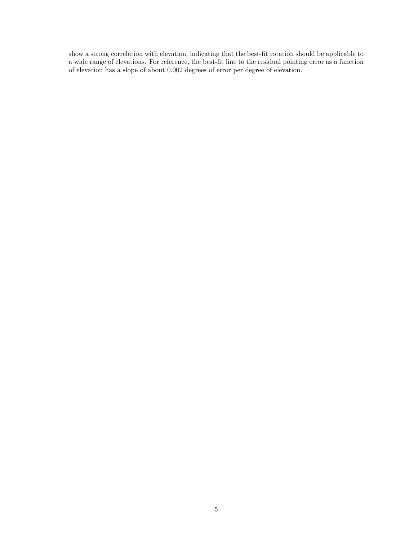show a strong correlation with elevation, indicating that the best-fit rotation should be applicable to a wide range of elevations. For reference, the best-fit line to the residual pointing error as a function of elevation has a slope of about 0.002 degrees of error per degree of elevation.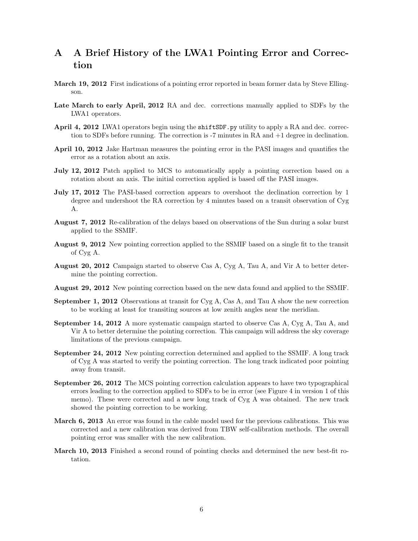# A A Brief History of the LWA1 Pointing Error and Correction

- March 19, 2012 First indications of a pointing error reported in beam former data by Steve Ellingson.
- Late March to early April, 2012 RA and dec. corrections manually applied to SDFs by the LWA1 operators.
- April 4, 2012 LWA1 operators begin using the shift SDF.py utility to apply a RA and dec. correction to SDFs before running. The correction is -7 minutes in RA and +1 degree in declination.
- April 10, 2012 Jake Hartman measures the pointing error in the PASI images and quantifies the error as a rotation about an axis.
- July 12, 2012 Patch applied to MCS to automatically apply a pointing correction based on a rotation about an axis. The initial correction applied is based off the PASI images.
- July 17, 2012 The PASI-based correction appears to overshoot the declination correction by 1 degree and undershoot the RA correction by 4 minutes based on a transit observation of Cyg A.
- August 7, 2012 Re-calibration of the delays based on observations of the Sun during a solar burst applied to the SSMIF.
- August 9, 2012 New pointing correction applied to the SSMIF based on a single fit to the transit of Cyg A.
- August 20, 2012 Campaign started to observe Cas A, Cyg A, Tau A, and Vir A to better determine the pointing correction.
- August 29, 2012 New pointing correction based on the new data found and applied to the SSMIF.
- September 1, 2012 Observations at transit for Cyg A, Cas A, and Tau A show the new correction to be working at least for transiting sources at low zenith angles near the meridian.
- September 14, 2012 A more systematic campaign started to observe Cas A, Cyg A, Tau A, and Vir A to better determine the pointing correction. This campaign will address the sky coverage limitations of the previous campaign.
- September 24, 2012 New pointing correction determined and applied to the SSMIF. A long track of Cyg A was started to verify the pointing correction. The long track indicated poor pointing away from transit.
- September 26, 2012 The MCS pointing correction calculation appears to have two typographical errors leading to the correction applied to SDFs to be in error (see Figure 4 in version 1 of this memo). These were corrected and a new long track of Cyg A was obtained. The new track showed the pointing correction to be working.
- March 6, 2013 An error was found in the cable model used for the previous calibrations. This was corrected and a new calibration was derived from TBW self-calibration methods. The overall pointing error was smaller with the new calibration.
- March 10, 2013 Finished a second round of pointing checks and determined the new best-fit rotation.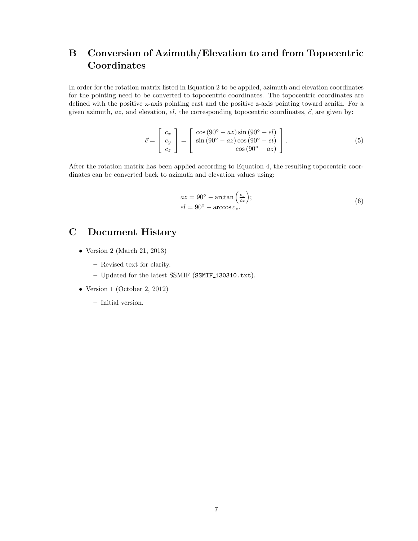# B Conversion of Azimuth/Elevation to and from Topocentric **Coordinates**

In order for the rotation matrix listed in Equation 2 to be applied, azimuth and elevation coordinates for the pointing need to be converted to topocentric coordinates. The topocentric coordinates are defined with the positive x-axis pointing east and the positive z-axis pointing toward zenith. For a given azimuth,  $az$ , and elevation,  $el$ , the corresponding topocentric coordinates,  $\vec{c}$ , are given by:

$$
\vec{c} = \begin{bmatrix} c_x \\ c_y \\ c_z \end{bmatrix} = \begin{bmatrix} \cos(90^\circ - az)\sin(90^\circ - el) \\ \sin(90^\circ - az)\cos(90^\circ - el) \\ \cos(90^\circ - az) \end{bmatrix} . \tag{5}
$$

After the rotation matrix has been applied according to Equation 4, the resulting topocentric coordinates can be converted back to azimuth and elevation values using:

$$
az = 90^{\circ} - \arctan\left(\frac{c_y}{c_x}\right);
$$
  
\n
$$
el = 90^{\circ} - \arccos c_z.
$$
\n(6)

## C Document History

- Version 2 (March 21, 2013)
	- Revised text for clarity.
	- Updated for the latest SSMIF (SSMIF 130310.txt).
- Version 1 (October 2, 2012)
	- Initial version.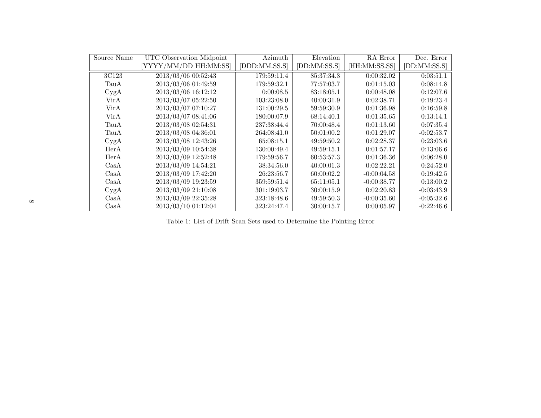| Source Name                     | UTC Observation Midpoint | Azimuth       | Elevation    | RA Error      | Dec. Error   |
|---------------------------------|--------------------------|---------------|--------------|---------------|--------------|
|                                 | [YYYY/MM/DD HH:MM:SS]    | [DDD:MM.SS.S] | [DD:MM:SS.S] | [HH:MM:SS.SS] | [DD:MM:SS.S] |
| 3C123                           | 2013/03/06 00:52:43      | 179:59:11.4   | 85:37:34.3   | 0:00:32.02    | 0:03:51.1    |
| TauA                            | 2013/03/06 01:49:59      | 179:59:32.1   | 77:57:03.7   | 0:01:15.03    | 0:08:14.8    |
| CygA                            | 2013/03/06 16:12:12      | 0:00:08.5     | 83:18:05.1   | 0:00:48.08    | 0:12:07.6    |
| VirA                            | 2013/03/07 05:22:50      | 103:23:08.0   | 40:00:31.9   | 0:02:38.71    | 0:19:23.4    |
| VirA                            | 2013/03/07 07:10:27      | 131:00:29.5   | 59:59:30.9   | 0:01:36.98    | 0:16:59.8    |
| VirA                            | 2013/03/07 08:41:06      | 180:00:07.9   | 68:14:40.1   | 0:01:35.65    | 0:13:14.1    |
| TauA                            | 2013/03/08 02:54:31      | 237:38:44.4   | 70:00:48.4   | 0:01:13.60    | 0:07:35.4    |
| TauA                            | 2013/03/08 04:36:01      | 264:08:41.0   | 50:01:00.2   | 0:01:29.07    | $-0:02:53.7$ |
| CygA                            | 2013/03/08 12:43:26      | 65:08:15.1    | 49:59:50.2   | 0:02:28.37    | 0:23:03.6    |
| HerA                            | 2013/03/09 10:54:38      | 130:00:49.4   | 49:59:15.1   | 0:01:57.17    | 0:13:06.6    |
| HerA                            | 2013/03/09 12:52:48      | 179:59:56.7   | 60:53:57.3   | 0:01:36.36    | 0:06:28.0    |
| $\operatorname{Cas}\nolimits A$ | 2013/03/09 14:54:21      | 38:34:56.0    | 40:00:01.3   | 0:02:22.21    | 0:24:52.0    |
| $\rm CasA$                      | 2013/03/09 17:42:20      | 26:23:56.7    | 60:00:02.2   | $-0:00:04.58$ | 0:19:42.5    |
| $\text{Cas}\Delta$              | 2013/03/09 19:23:59      | 359:59:51.4   | 65:11:05.1   | $-0:00:38.77$ | 0:13:00.2    |
| CygA                            | 2013/03/09 21:10:08      | 301:19:03.7   | 30:00:15.9   | 0:02:20.83    | $-0:03:43.9$ |
| $\text{Cas}\Delta$              | 2013/03/09 22:35:28      | 323:18:48.6   | 49:59:50.3   | $-0:00:35.60$ | $-0.05:32.6$ |
| $\text{Cas}\Delta$              | 2013/03/10 01:12:04      | 323:24:47.4   | 30:00:15.7   | 0:00:05.97    | $-0:22:46.6$ |

Table 1: List of Drift Scan Sets used to Determine the Pointing Error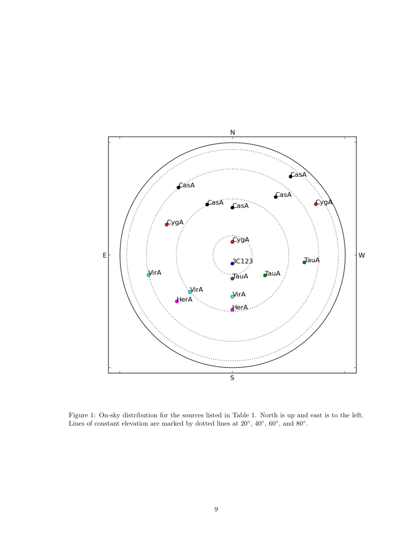

Figure 1: On-sky distribution for the sources listed in Table 1. North is up and east is to the left. Lines of constant elevation are marked by dotted lines at  $20^{\circ}$ ,  $40^{\circ}$ ,  $60^{\circ}$ , and  $80^{\circ}$ .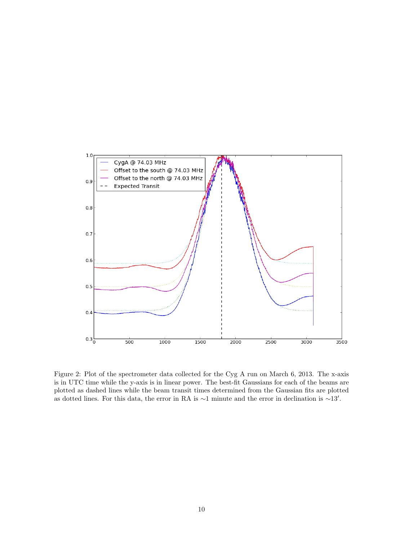

Figure 2: Plot of the spectrometer data collected for the Cyg A run on March 6, 2013. The x-axis is in UTC time while the y-axis is in linear power. The best-fit Gaussians for each of the beams are plotted as dashed lines while the beam transit times determined from the Gaussian fits are plotted as dotted lines. For this data, the error in RA is  $\sim$ 1 minute and the error in declination is  $\sim$ 13'.